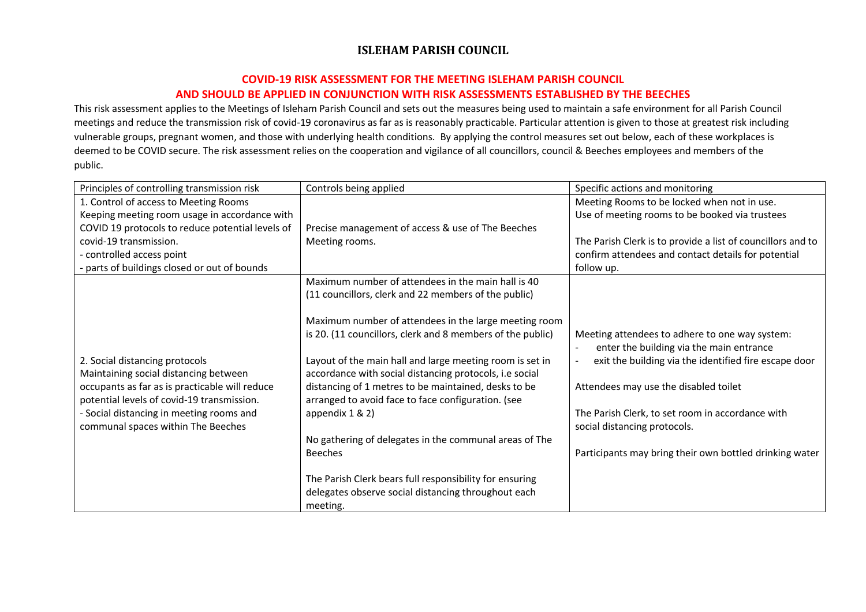### **COVID-19 RISK ASSESSMENT FOR THE MEETING ISLEHAM PARISH COUNCIL AND SHOULD BE APPLIED IN CONJUNCTION WITH RISK ASSESSMENTS ESTABLISHED BY THE BEECHES**

This risk assessment applies to the Meetings of Isleham Parish Council and sets out the measures being used to maintain a safe environment for all Parish Council meetings and reduce the transmission risk of covid-19 coronavirus as far as is reasonably practicable. Particular attention is given to those at greatest risk including vulnerable groups, pregnant women, and those with underlying health conditions. By applying the control measures set out below, each of these workplaces is deemed to be COVID secure. The risk assessment relies on the cooperation and vigilance of all councillors, council & Beeches employees and members of the public.

| Principles of controlling transmission risk                                                  | Controls being applied                                                                                              | Specific actions and monitoring                                                            |
|----------------------------------------------------------------------------------------------|---------------------------------------------------------------------------------------------------------------------|--------------------------------------------------------------------------------------------|
| 1. Control of access to Meeting Rooms                                                        |                                                                                                                     | Meeting Rooms to be locked when not in use.                                                |
| Keeping meeting room usage in accordance with                                                |                                                                                                                     | Use of meeting rooms to be booked via trustees                                             |
| COVID 19 protocols to reduce potential levels of                                             | Precise management of access & use of The Beeches                                                                   |                                                                                            |
| covid-19 transmission.                                                                       | Meeting rooms.                                                                                                      | The Parish Clerk is to provide a list of councillors and to                                |
| - controlled access point                                                                    |                                                                                                                     | confirm attendees and contact details for potential                                        |
| - parts of buildings closed or out of bounds                                                 |                                                                                                                     | follow up.                                                                                 |
|                                                                                              | Maximum number of attendees in the main hall is 40                                                                  |                                                                                            |
|                                                                                              | (11 councillors, clerk and 22 members of the public)                                                                |                                                                                            |
|                                                                                              |                                                                                                                     |                                                                                            |
|                                                                                              | Maximum number of attendees in the large meeting room                                                               |                                                                                            |
|                                                                                              | is 20. (11 councillors, clerk and 8 members of the public)                                                          | Meeting attendees to adhere to one way system:<br>enter the building via the main entrance |
| 2. Social distancing protocols<br>Maintaining social distancing between                      | Layout of the main hall and large meeting room is set in<br>accordance with social distancing protocols, i.e social | exit the building via the identified fire escape door                                      |
| occupants as far as is practicable will reduce<br>potential levels of covid-19 transmission. | distancing of 1 metres to be maintained, desks to be<br>arranged to avoid face to face configuration. (see          | Attendees may use the disabled toilet                                                      |
| - Social distancing in meeting rooms and                                                     | appendix 1 & 2)                                                                                                     | The Parish Clerk, to set room in accordance with                                           |
| communal spaces within The Beeches                                                           |                                                                                                                     | social distancing protocols.                                                               |
|                                                                                              | No gathering of delegates in the communal areas of The                                                              |                                                                                            |
|                                                                                              | <b>Beeches</b>                                                                                                      | Participants may bring their own bottled drinking water                                    |
|                                                                                              |                                                                                                                     |                                                                                            |
|                                                                                              | The Parish Clerk bears full responsibility for ensuring                                                             |                                                                                            |
|                                                                                              | delegates observe social distancing throughout each                                                                 |                                                                                            |
|                                                                                              | meeting.                                                                                                            |                                                                                            |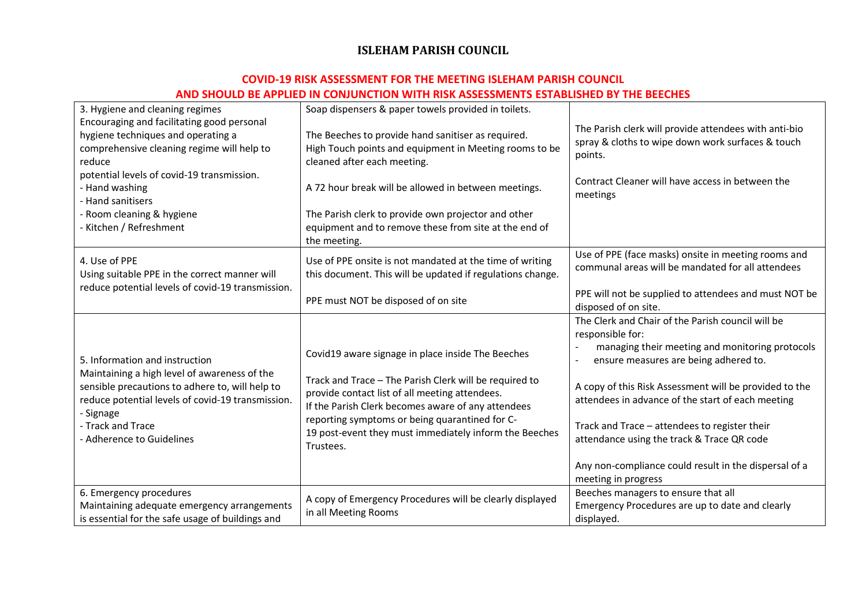| 3. Hygiene and cleaning regimes                                | Soap dispensers & paper towels provided in toilets.        |                                                        |
|----------------------------------------------------------------|------------------------------------------------------------|--------------------------------------------------------|
| Encouraging and facilitating good personal                     |                                                            | The Parish clerk will provide attendees with anti-bio  |
| hygiene techniques and operating a                             | The Beeches to provide hand sanitiser as required.         | spray & cloths to wipe down work surfaces & touch      |
| comprehensive cleaning regime will help to                     | High Touch points and equipment in Meeting rooms to be     | points.                                                |
| reduce                                                         | cleaned after each meeting.                                |                                                        |
| potential levels of covid-19 transmission.                     |                                                            | Contract Cleaner will have access in between the       |
| - Hand washing                                                 | A 72 hour break will be allowed in between meetings.       | meetings                                               |
| - Hand sanitisers                                              |                                                            |                                                        |
| - Room cleaning & hygiene                                      | The Parish clerk to provide own projector and other        |                                                        |
| - Kitchen / Refreshment                                        | equipment and to remove these from site at the end of      |                                                        |
|                                                                | the meeting.                                               |                                                        |
| 4. Use of PPE                                                  | Use of PPE onsite is not mandated at the time of writing   | Use of PPE (face masks) onsite in meeting rooms and    |
| Using suitable PPE in the correct manner will                  | this document. This will be updated if regulations change. | communal areas will be mandated for all attendees      |
| reduce potential levels of covid-19 transmission.              |                                                            |                                                        |
|                                                                | PPE must NOT be disposed of on site                        | PPE will not be supplied to attendees and must NOT be  |
|                                                                |                                                            | disposed of on site.                                   |
|                                                                |                                                            | The Clerk and Chair of the Parish council will be      |
|                                                                |                                                            | responsible for:                                       |
|                                                                | Covid19 aware signage in place inside The Beeches          | managing their meeting and monitoring protocols        |
| 5. Information and instruction                                 |                                                            | ensure measures are being adhered to.                  |
| Maintaining a high level of awareness of the                   | Track and Trace - The Parish Clerk will be required to     |                                                        |
| sensible precautions to adhere to, will help to                | provide contact list of all meeting attendees.             | A copy of this Risk Assessment will be provided to the |
| reduce potential levels of covid-19 transmission.<br>- Signage | If the Parish Clerk becomes aware of any attendees         | attendees in advance of the start of each meeting      |
|                                                                | reporting symptoms or being quarantined for C-             |                                                        |
| - Track and Trace                                              | 19 post-event they must immediately inform the Beeches     | Track and Trace - attendees to register their          |
| - Adherence to Guidelines                                      | Trustees.                                                  | attendance using the track & Trace QR code             |
|                                                                |                                                            |                                                        |
|                                                                |                                                            | Any non-compliance could result in the dispersal of a  |
|                                                                |                                                            | meeting in progress                                    |
| 6. Emergency procedures                                        | A copy of Emergency Procedures will be clearly displayed   | Beeches managers to ensure that all                    |
| Maintaining adequate emergency arrangements                    | in all Meeting Rooms                                       | Emergency Procedures are up to date and clearly        |
| is essential for the safe usage of buildings and               |                                                            | displayed.                                             |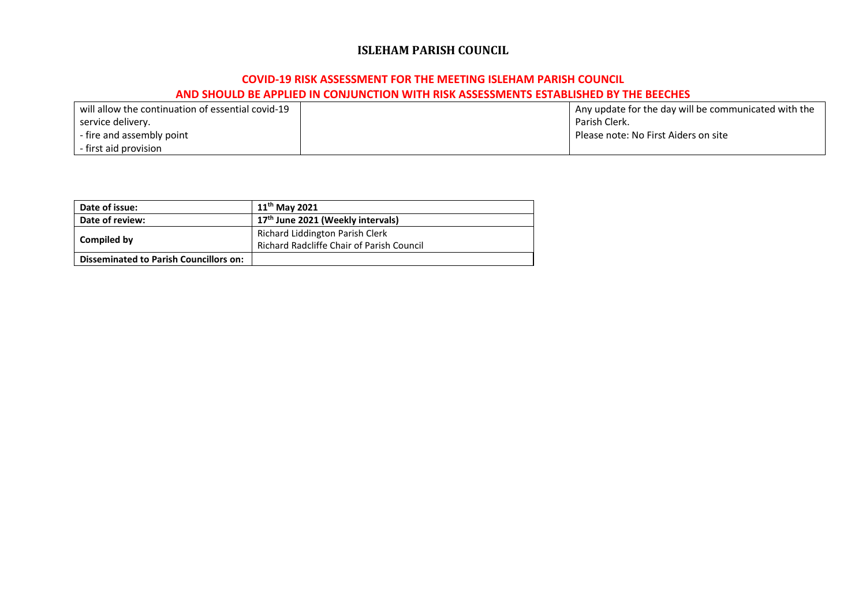| l will allow the continuation of essential covid-19 | Any update for the day will be communicated with the |
|-----------------------------------------------------|------------------------------------------------------|
| service delivery.                                   | Parish Clerk.                                        |
| - fire and assembly point                           | Please note: No First Aiders on site                 |
| l - first aid provision                             |                                                      |

| Date of issue:                                | $11^{th}$ May 2021                               |
|-----------------------------------------------|--------------------------------------------------|
| Date of review:                               | 17 <sup>th</sup> June 2021 (Weekly intervals)    |
|                                               | Richard Liddington Parish Clerk                  |
| Compiled by                                   | <b>Richard Radcliffe Chair of Parish Council</b> |
| <b>Disseminated to Parish Councillors on:</b> |                                                  |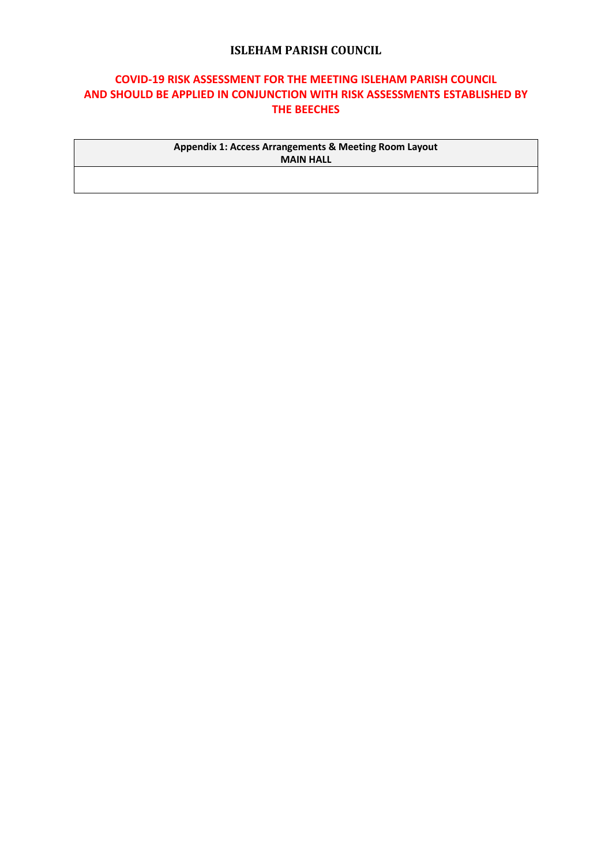## **COVID-19 RISK ASSESSMENT FOR THE MEETING ISLEHAM PARISH COUNCIL AND SHOULD BE APPLIED IN CONJUNCTION WITH RISK ASSESSMENTS ESTABLISHED BY THE BEECHES**

**Appendix 1: Access Arrangements & Meeting Room Layout MAIN HALL**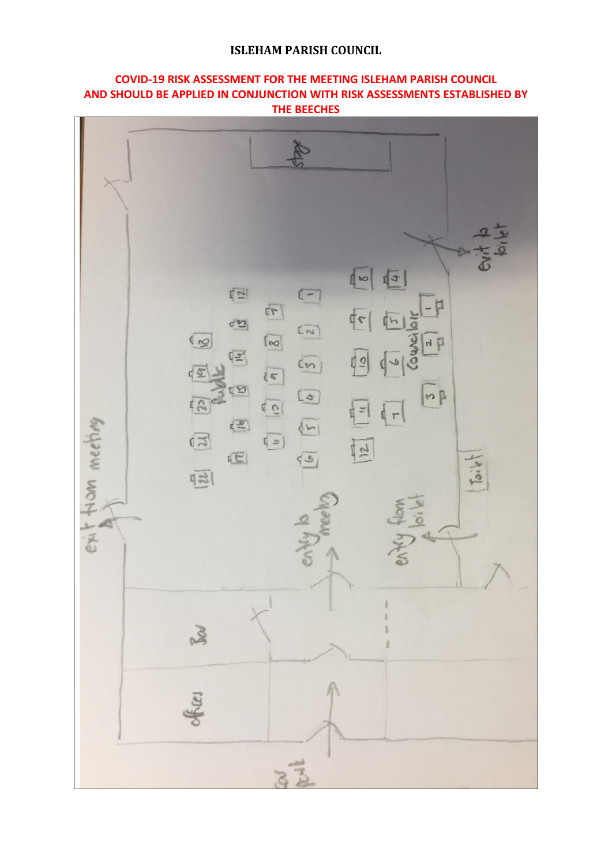